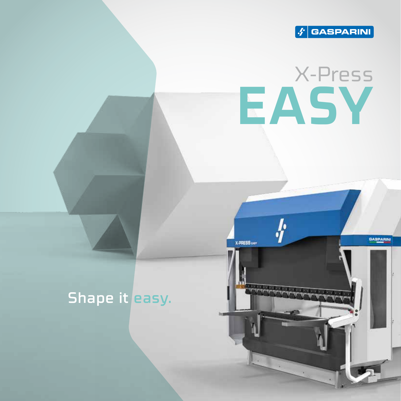

# X-Press **EASY**

### Shape it easy.

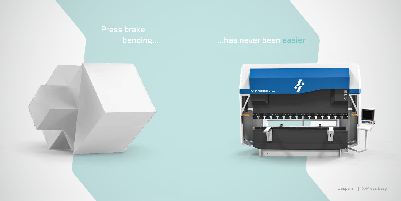Gasparini | X-Press Easy



## Press brake bending...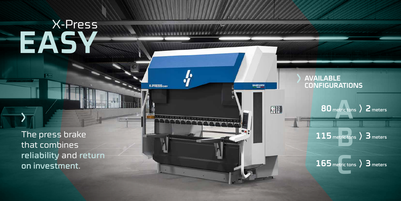# X-Press EAS

The press brake that combines reliability and return on investment.



GASPARIN

 $\frac{1}{2}$ 

**X-PRESS EASY** 

### **AVAILABLE CONFIGURATIONS**

80 metric tons > 2 meters

115 metric tons > 3 meters

## 165 metric tons > 3 meters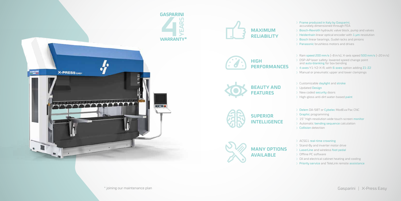Gasparini | X-Press Easy

Customizable daylight and stroke Updated Design New coded security doors  $\rightarrow$  High-gloss anti-dirt water-based paint

Frame produced in Italy by Gasparini, accurately dimensioned through FEA  $\rightarrow$  Bosch-Rexroth hydraulic valve block, pump and valves  $\rightarrow$  Heidenhain linear optical encoder with 1  $\mu$ m resolution  $\rightarrow$  Bosch linear bearings, Gudel racks and pinions Panasonic brushless motors and drives

Delem DA-58T or Cybelec ModEva Pac CNC  $\rightarrow$  Graphic programming 15" high-resolution wide touch-screen monitor Automatic bending sequence calculation Collision detection

 $\rightarrow$  Ram speed 200 mm/s (~8 in/s), X-axis speed 500 mm/s (~20 in/s) DSP-AP laser safety: lowered speed change point and auto-blanking for box bending 4 axes Y1-Y2-X-R, with 6-axes option adding Z1-Z2 Manual or pneumatic upper and lower clampings

ACSG1 real-time crowning Stand-By and inverter motor drive LaserLine and wireless foot pedal Offline PC software  $\rightarrow$  Oil and electrical cabinet heating and cooling Priority service and TeleLink remote assistance